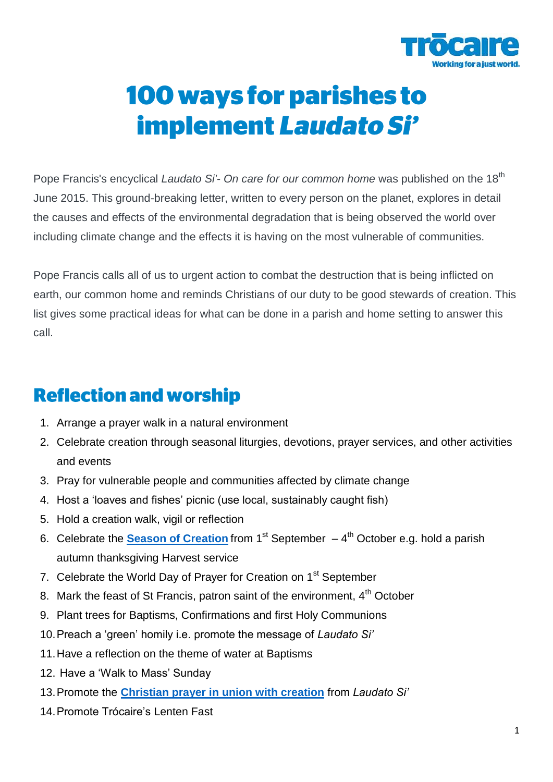

# **100 ways for parishes to** implement Laudato Si'

Pope Francis's encyclical *Laudato Si'- On care for our common home* was published on the 18<sup>th</sup> June 2015. This ground-breaking letter, written to every person on the planet, explores in detail the causes and effects of the environmental degradation that is being observed the world over including climate change and the effects it is having on the most vulnerable of communities.

Pope Francis calls all of us to urgent action to combat the destruction that is being inflicted on earth, our common home and reminds Christians of our duty to be good stewards of creation. This list gives some practical ideas for what can be done in a parish and home setting to answer this call.

## **Reflection and worship**

- 1. Arrange a prayer walk in a natural environment
- 2. Celebrate creation through seasonal liturgies, devotions, prayer services, and other activities and events
- 3. Pray for vulnerable people and communities affected by climate change
- 4. Host a 'loaves and fishes' picnic (use local, sustainably caught fish)
- 5. Hold a creation walk, vigil or reflection
- 6. Celebrate the **[Season of Creation](https://seasonofcreation.org/)** from 1<sup>st</sup> September 4<sup>th</sup> October e.g. hold a parish autumn thanksgiving Harvest service
- 7. Celebrate the World Day of Prayer for Creation on 1<sup>st</sup> September
- 8. Mark the feast of St Francis, patron saint of the environment,  $4<sup>th</sup>$  October
- 9. Plant trees for Baptisms, Confirmations and first Holy Communions
- 10.Preach a 'green' homily i.e. promote the message of *Laudato Si'*
- 11.Have a reflection on the theme of water at Baptisms
- 12. Have a 'Walk to Mass' Sunday
- 13.Promote the **[Christian prayer in union with creation](http://www.catholicbishops.ie/2015/08/31/world-day-prayer-creation/)** from *Laudato Si'*
- 14.Promote Trócaire's Lenten Fast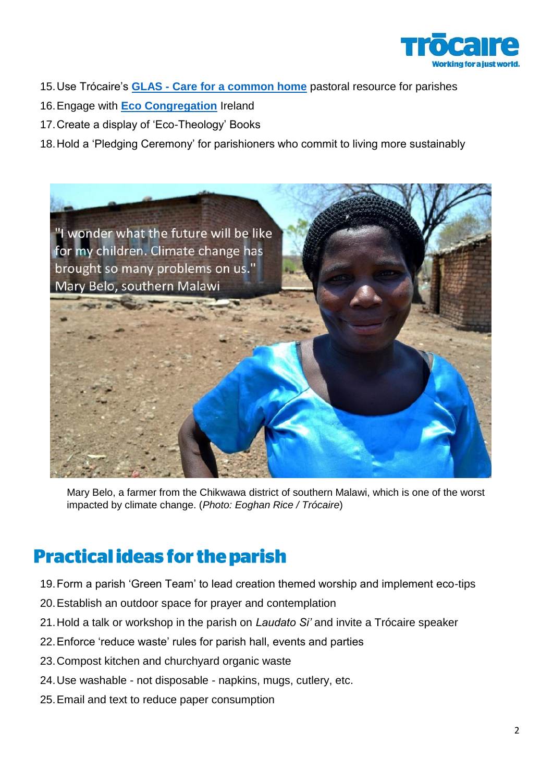

- 15.Use Trócaire's **GLAS - [Care for a common home](https://www.trocaire.org/resources/parishes/climate-resources)** pastoral resource for parishes
- 16.Engage with **[Eco Congregation](http://ecocongregationireland.com/)** Ireland
- 17.Create a display of 'Eco-Theology' Books
- 18.Hold a 'Pledging Ceremony' for parishioners who commit to living more sustainably



Mary Belo, a farmer from the Chikwawa district of southern Malawi, which is one of the worst impacted by climate change. (*Photo: Eoghan Rice / Trócaire*)

#### **Practical ideas for the parish**

- 19.Form a parish 'Green Team' to lead creation themed worship and implement eco-tips
- 20.Establish an outdoor space for prayer and contemplation
- 21.Hold a talk or workshop in the parish on *Laudato Si'* and invite a Trócaire speaker
- 22.Enforce 'reduce waste' rules for parish hall, events and parties
- 23.Compost kitchen and churchyard organic waste
- 24.Use washable not disposable napkins, mugs, cutlery, etc.
- 25.Email and text to reduce paper consumption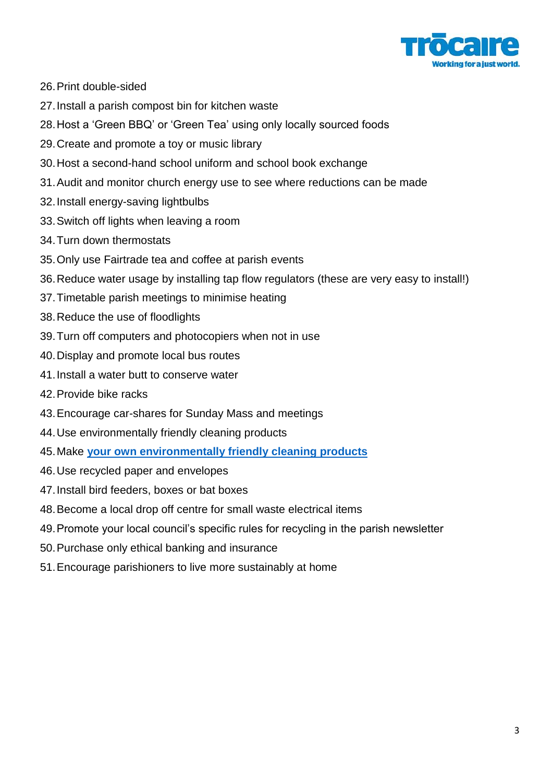

- 26.Print double-sided
- 27.Install a parish compost bin for kitchen waste
- 28.Host a 'Green BBQ' or 'Green Tea' using only locally sourced foods
- 29.Create and promote a toy or music library
- 30.Host a second-hand school uniform and school book exchange
- 31.Audit and monitor church energy use to see where reductions can be made
- 32.Install energy-saving lightbulbs
- 33.Switch off lights when leaving a room
- 34.Turn down thermostats
- 35.Only use Fairtrade tea and coffee at parish events
- 36.Reduce water usage by installing tap flow regulators (these are very easy to install!)
- 37.Timetable parish meetings to minimise heating
- 38.Reduce the use of floodlights
- 39.Turn off computers and photocopiers when not in use
- 40.Display and promote local bus routes
- 41.Install a water butt to conserve water
- 42.Provide bike racks
- 43.Encourage car-shares for Sunday Mass and meetings
- 44.Use environmentally friendly cleaning products
- 45.Make **your own [environmentally friendly cleaning products](http://www.greenschoolsireland.org/_fileupload/Litter%20and%20Waste%20Resources/MakeYourOwnEcoFriendlyCleaningProducts.pdf)**
- 46.Use recycled paper and envelopes
- 47.Install bird feeders, boxes or bat boxes
- 48.Become a local drop off centre for small waste electrical items
- 49.Promote your local council's specific rules for recycling in the parish newsletter
- 50.Purchase only ethical banking and insurance
- 51.Encourage parishioners to live more sustainably at home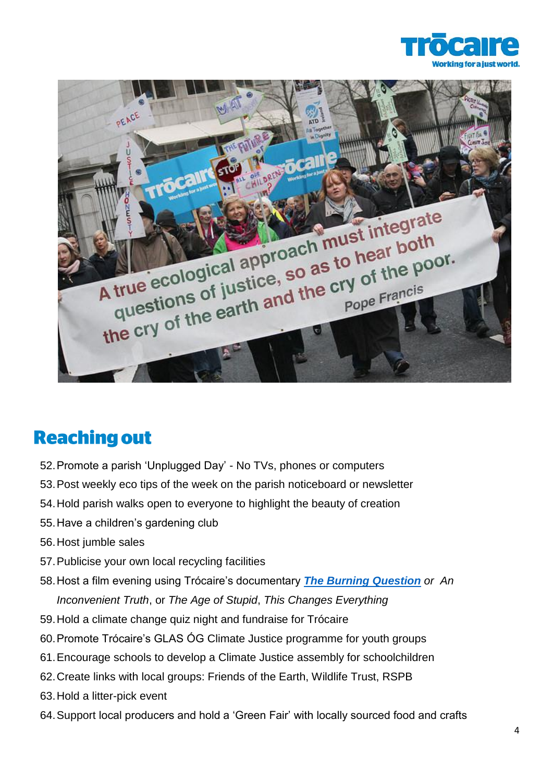



#### **Reaching out**

- 52.Promote a parish 'Unplugged Day' No TVs, phones or computers
- 53.Post weekly eco tips of the week on the parish noticeboard or newsletter
- 54.Hold parish walks open to everyone to highlight the beauty of creation
- 55.Have a children's gardening club
- 56.Host jumble sales
- 57.Publicise your own local recycling facilities
- 58.Host a film evening using Trócaire's documentary *[The Burning Question](https://www.trocaire.org/getinvolved/climate-justice/burningquestiondoc) or An Inconvenient Truth*, or *The Age of Stupid*, *This Changes Everything*
- 59.Hold a climate change quiz night and fundraise for Trócaire
- 60.Promote Trócaire's GLAS ÓG Climate Justice programme for youth groups
- 61.Encourage schools to develop a Climate Justice assembly for schoolchildren
- 62.Create links with local groups: Friends of the Earth, Wildlife Trust, RSPB
- 63.Hold a litter-pick event
- 64.Support local producers and hold a 'Green Fair' with locally sourced food and crafts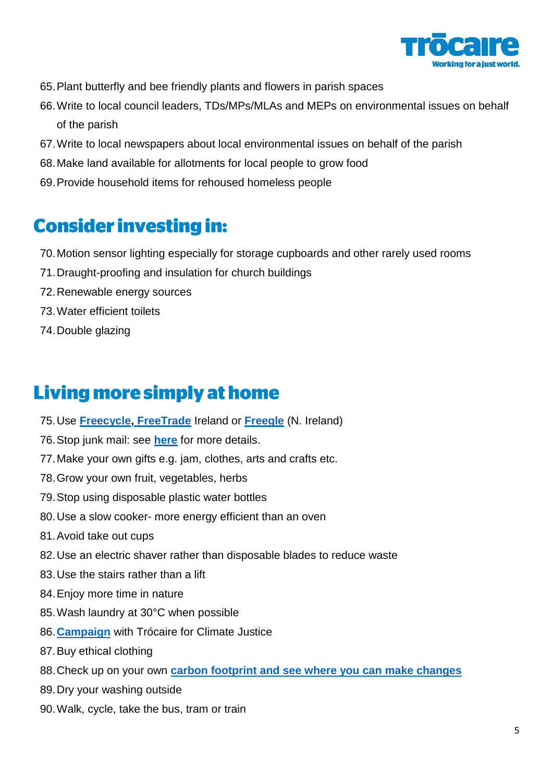

- 65.Plant butterfly and bee friendly plants and flowers in parish spaces
- 66.Write to local council leaders, TDs/MPs/MLAs and MEPs on environmental issues on behalf of the parish
- 67.Write to local newspapers about local environmental issues on behalf of the parish
- 68.Make land available for allotments for local people to grow food
- 69.Provide household items for rehoused homeless people

### **Consider investing in:**

- 70.Motion sensor lighting especially for storage cupboards and other rarely used rooms
- 71.Draught-proofing and insulation for church buildings
- 72.Renewable energy sources
- 73.Water efficient toilets
- 74.Double glazing

# **Living more simply at home**

- 75.Use **[Freecycle,](https://www.freecycle.org/browse/IE/Ireland) [FreeTrade](http://www.freetradeireland.ie/)** Ireland or **[Freegle](https://ilovefreegle.org/)** (N. Ireland)
- 76.Stop junk mail: see **[here](http://www.rte.ie/news/money/2012/0123/289630-stopping-junk-mail-spam-email-and-cold-calls/)** for more details.
- 77.Make your own gifts e.g. jam, clothes, arts and crafts etc.
- 78.Grow your own fruit, vegetables, herbs
- 79.Stop using disposable plastic water bottles
- 80.Use a slow cooker- more energy efficient than an oven
- 81.Avoid take out cups
- 82.Use an electric shaver rather than disposable blades to reduce waste
- 83.Use the stairs rather than a lift
- 84.Enjoy more time in nature
- 85.Wash laundry at 30°C when possible
- 86.**[Campaign](https://www.trocaire.org/getinvolved/climate-justice)** with Trócaire for Climate Justice
- 87.Buy ethical clothing
- 88.Check up on your own **[carbon footprint](http://footprint.wwf.org.uk/) and see where you can make changes**
- 89.Dry your washing outside
- 90.Walk, cycle, take the bus, tram or train